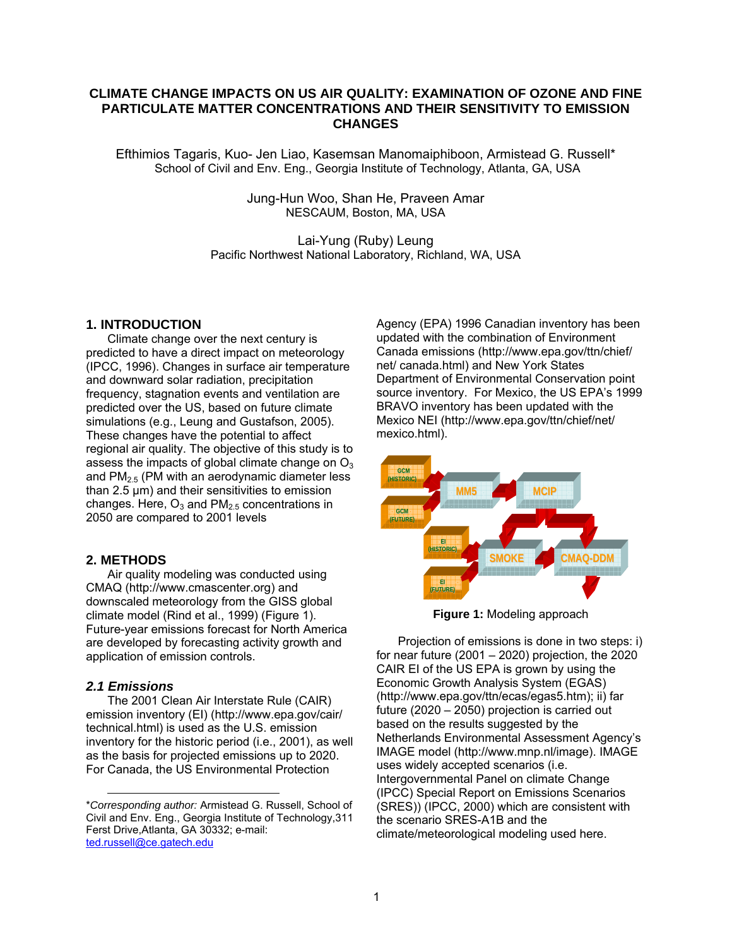## **CLIMATE CHANGE IMPACTS ON US AIR QUALITY: EXAMINATION OF OZONE AND FINE PARTICULATE MATTER CONCENTRATIONS AND THEIR SENSITIVITY TO EMISSION CHANGES**

Efthimios Tagaris, Kuo- Jen Liao, Kasemsan Manomaiphiboon, Armistead G. Russell\* School of Civil and Env. Eng., Georgia Institute of Technology, Atlanta, GA, USA

> Jung-Hun Woo, Shan He, Praveen Amar NESCAUM, Boston, MA, USA

Lai-Yung (Ruby) Leung Pacific Northwest National Laboratory, Richland, WA, USA

## **1. INTRODUCTION**

Climate change over the next century is predicted to have a direct impact on meteorology (IPCC, 1996). Changes in surface air temperature and downward solar radiation, precipitation frequency, stagnation events and ventilation are predicted over the US, based on future climate simulations (e.g., Leung and Gustafson, 2005). These changes have the potential to affect regional air quality. The objective of this study is to assess the impacts of global climate change on  $O_3$ and  $PM_{2.5}$  (PM with an aerodynamic diameter less than 2.5 μm) and their sensitivities to emission changes. Here,  $O_3$  and  $PM_{2.5}$  concentrations in 2050 are compared to 2001 levels

## **2. METHODS**

Air quality modeling was conducted using CMAQ (http://www.cmascenter.org) and downscaled meteorology from the GISS global climate model (Rind et al., 1999) (Figure 1). Future-year emissions forecast for North America are developed by forecasting activity growth and application of emission controls.

#### *2.1 Emissions*

l

The 2001 Clean Air Interstate Rule (CAIR) emission inventory (EI) (http://www.epa.gov/cair/ technical.html) is used as the U.S. emission inventory for the historic period (i.e., 2001), as well as the basis for projected emissions up to 2020. For Canada, the US Environmental Protection

Agency (EPA) 1996 Canadian inventory has been updated with the combination of Environment Canada emissions (http://www.epa.gov/ttn/chief/ net/ canada.html) and New York States Department of Environmental Conservation point source inventory. For Mexico, the US EPA's 1999 BRAVO inventory has been updated with the Mexico NEI (http://www.epa.gov/ttn/chief/net/ mexico.html).



**Figure 1:** Modeling approach

Projection of emissions is done in two steps: i) for near future (2001 – 2020) projection, the 2020 CAIR EI of the US EPA is grown by using the Economic Growth Analysis System (EGAS) (http://www.epa.gov/ttn/ecas/egas5.htm); ii) far future (2020 – 2050) projection is carried out based on the results suggested by the Netherlands Environmental Assessment Agency's IMAGE model (http://www.mnp.nl/image). IMAGE uses widely accepted scenarios (i.e. Intergovernmental Panel on climate Change (IPCC) Special Report on Emissions Scenarios (SRES)) (IPCC, 2000) which are consistent with the scenario SRES-A1B and the climate/meteorological modeling used here.

<sup>\*</sup>*Corresponding author:* Armistead G. Russell, School of Civil and Env. Eng., Georgia Institute of Technology,311 Ferst Drive,Atlanta, GA 30332; e-mail: ted.russell@ce.gatech.edu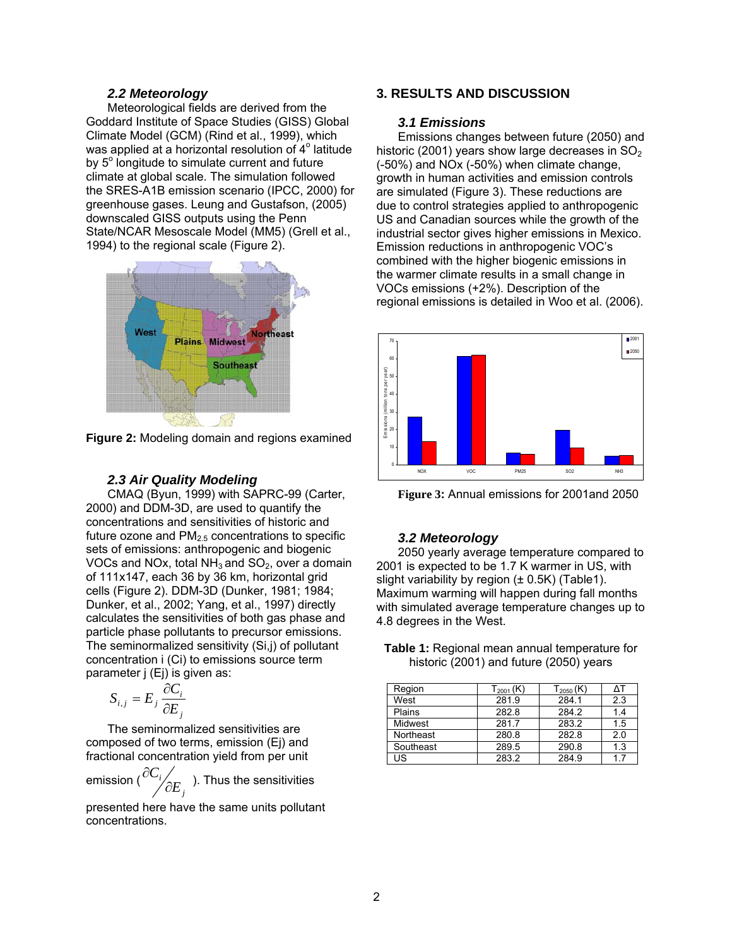## *2.2 Meteorology*

Meteorological fields are derived from the Goddard Institute of Space Studies (GISS) Global Climate Model (GCM) (Rind et al., 1999), which was applied at a horizontal resolution of  $4^{\circ}$  latitude by  $5^\circ$  longitude to simulate current and future climate at global scale. The simulation followed the SRES-A1B emission scenario (IPCC, 2000) for greenhouse gases. Leung and Gustafson, (2005) downscaled GISS outputs using the Penn State/NCAR Mesoscale Model (MM5) (Grell et al., 1994) to the regional scale (Figure 2).



**Figure 2:** Modeling domain and regions examined

## *2.3 Air Quality Modeling*

CMAQ (Byun, 1999) with SAPRC-99 (Carter, 2000) and DDM-3D, are used to quantify the concentrations and sensitivities of historic and future ozone and  $PM<sub>2.5</sub>$  concentrations to specific sets of emissions: anthropogenic and biogenic VOCs and NOx, total  $NH<sub>3</sub>$  and SO<sub>2</sub>, over a domain of 111x147, each 36 by 36 km, horizontal grid cells (Figure 2). DDM-3D (Dunker, 1981; 1984; Dunker, et al., 2002; Yang, et al., 1997) directly calculates the sensitivities of both gas phase and particle phase pollutants to precursor emissions. The seminormalized sensitivity (Si,j) of pollutant concentration i (Ci) to emissions source term parameter j (Ej) is given as:

$$
S_{i,j} = E_j \frac{\partial C_i}{\partial E_j}
$$

The seminormalized sensitivities are composed of two terms, emission (Ej) and fractional concentration yield from per unit

emission ( *j E* ∂ *i C* <sup>∂</sup> ). Thus the sensitivities

presented here have the same units pollutant concentrations.

# **3. RESULTS AND DISCUSSION**

#### *3.1 Emissions*

Emissions changes between future (2050) and historic (2001) years show large decreases in  $SO<sub>2</sub>$ (-50%) and NOx (-50%) when climate change, growth in human activities and emission controls are simulated (Figure 3). These reductions are due to control strategies applied to anthropogenic US and Canadian sources while the growth of the industrial sector gives higher emissions in Mexico. Emission reductions in anthropogenic VOC's combined with the higher biogenic emissions in the warmer climate results in a small change in VOCs emissions (+2%). Description of the regional emissions is detailed in Woo et al. (2006).





### *3.2 Meteorology*

2050 yearly average temperature compared to 2001 is expected to be 1.7 K warmer in US, with slight variability by region  $(\pm 0.5K)$  (Table1). Maximum warming will happen during fall months with simulated average temperature changes up to 4.8 degrees in the West.

**Table 1:** Regional mean annual temperature for historic (2001) and future (2050) years

| Region    | $T_{2001}$ (K) | $T_{2050}$ (K, |     |
|-----------|----------------|----------------|-----|
| West      | 281.9          | 284.1          | 2.3 |
| Plains    | 282.8          | 284.2          | 1.4 |
| Midwest   | 281.7          | 283.2          | 1.5 |
| Northeast | 280.8          | 282.8          | 2.0 |
| Southeast | 289.5          | 290.8          | 1.3 |
| US        | 283.2          | 284.9          | 17  |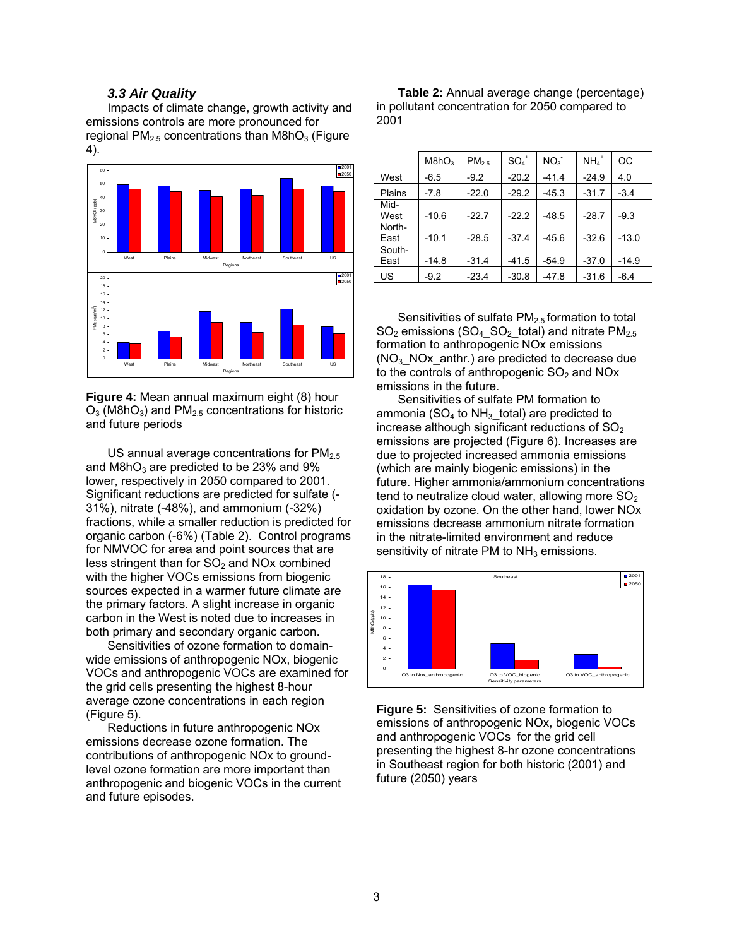### *3.3 Air Quality*

Impacts of climate change, growth activity and emissions controls are more pronounced for regional  $PM_{2.5}$  concentrations than M8hO<sub>3</sub> (Figure 4).



**Figure 4:** Mean annual maximum eight (8) hour  $O_3$  (M8h $O_3$ ) and PM<sub>2.5</sub> concentrations for historic and future periods

US annual average concentrations for  $PM<sub>2.5</sub>$ and  $M8hO<sub>3</sub>$  are predicted to be 23% and 9% lower, respectively in 2050 compared to 2001. Significant reductions are predicted for sulfate (- 31%), nitrate (-48%), and ammonium (-32%) fractions, while a smaller reduction is predicted for organic carbon (-6%) (Table 2). Control programs for NMVOC for area and point sources that are less stringent than for  $SO<sub>2</sub>$  and NOx combined with the higher VOCs emissions from biogenic sources expected in a warmer future climate are the primary factors. A slight increase in organic carbon in the West is noted due to increases in both primary and secondary organic carbon.

Sensitivities of ozone formation to domainwide emissions of anthropogenic NOx, biogenic VOCs and anthropogenic VOCs are examined for the grid cells presenting the highest 8-hour average ozone concentrations in each region (Figure 5).

Reductions in future anthropogenic NOx emissions decrease ozone formation. The contributions of anthropogenic NOx to groundlevel ozone formation are more important than anthropogenic and biogenic VOCs in the current and future episodes.

**Table 2:** Annual average change (percentage) in pollutant concentration for 2050 compared to 2001

|                | M8hO <sub>3</sub> | PM <sub>2.5</sub> | $SO_4^+$ | NO <sub>3</sub> | $NH4+$  | ОC      |
|----------------|-------------------|-------------------|----------|-----------------|---------|---------|
| West           | $-6.5$            | $-9.2$            | $-20.2$  | $-41.4$         | $-24.9$ | 4.0     |
| Plains         | $-7.8$            | $-22.0$           | $-29.2$  | $-45.3$         | $-31.7$ | $-3.4$  |
| Mid-<br>West   | $-10.6$           | $-22.7$           | $-22.2$  | $-48.5$         | $-28.7$ | $-9.3$  |
| North-<br>East | $-10.1$           | $-28.5$           | $-37.4$  | $-45.6$         | $-32.6$ | $-13.0$ |
| South-<br>East | $-14.8$           | $-31.4$           | $-41.5$  | $-54.9$         | $-37.0$ | $-14.9$ |
| US             | $-9.2$            | $-23.4$           | $-30.8$  | $-47.8$         | $-31.6$ | $-6.4$  |

Sensitivities of sulfate  $PM<sub>2.5</sub>$  formation to total SO<sub>2</sub> emissions (SO<sub>4</sub> SO<sub>2</sub> total) and nitrate PM<sub>2.5</sub> formation to anthropogenic NOx emissions ( $NO<sub>3</sub>$  NOx anthr.) are predicted to decrease due to the controls of anthropogenic  $SO<sub>2</sub>$  and NOx emissions in the future.

Sensitivities of sulfate PM formation to ammonia (SO<sub>4</sub> to NH<sub>3</sub> total) are predicted to increase although significant reductions of  $SO<sub>2</sub>$ emissions are projected (Figure 6). Increases are due to projected increased ammonia emissions (which are mainly biogenic emissions) in the future. Higher ammonia/ammonium concentrations tend to neutralize cloud water, allowing more  $SO<sub>2</sub>$ oxidation by ozone. On the other hand, lower NOx emissions decrease ammonium nitrate formation in the nitrate-limited environment and reduce sensitivity of nitrate PM to  $NH<sub>3</sub>$  emissions.



**Figure 5:** Sensitivities of ozone formation to emissions of anthropogenic NOx, biogenic VOCs and anthropogenic VOCs for the grid cell presenting the highest 8-hr ozone concentrations in Southeast region for both historic (2001) and future (2050) years